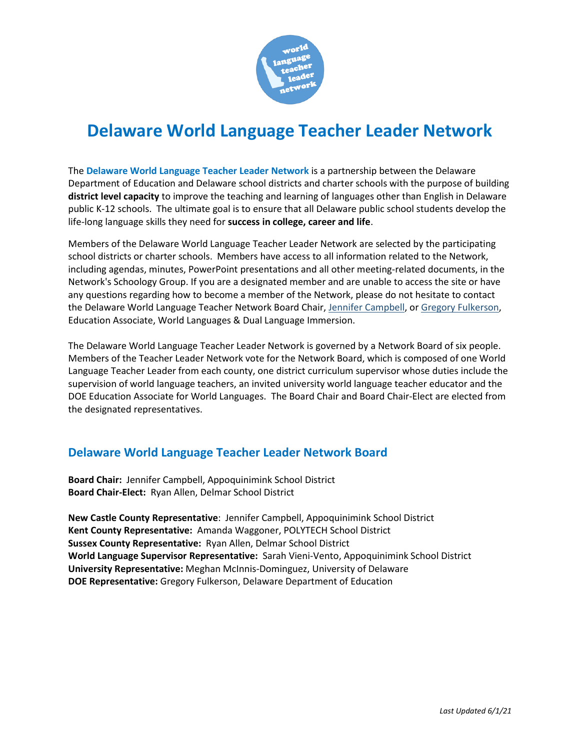

# **Delaware World Language Teacher Leader Network**

The **Delaware World Language Teacher Leader Network** is a partnership between the Delaware Department of Education and Delaware school districts and charter schools with the purpose of building **district level capacity** to improve the teaching and learning of languages other than English in Delaware public K-12 schools. The ultimate goal is to ensure that all Delaware public school students develop the life-long language skills they need for **success in college, career and life**.

Members of the Delaware World Language Teacher Leader Network are selected by the participating school districts or charter schools. Members have access to all information related to the Network, including agendas, minutes, PowerPoint presentations and all other meeting-related documents, in the Network's Schoology Group. If you are a designated member and are unable to access the site or have any questions regarding how to become a member of the Network, please do not hesitate to contact the Delaware World Language Teacher Network Board Chair, [Jennifer Campbell,](mailto:jennifer.campbell@appo.k12.de.us) o[r Gregory Fulkerson,](mailto:gregory.fulkerson@doe.k12.de.us) Education Associate, World Languages & Dual Language Immersion.

The Delaware World Language Teacher Leader Network is governed by a Network Board of six people. Members of the Teacher Leader Network vote for the Network Board, which is composed of one World Language Teacher Leader from each county, one district curriculum supervisor whose duties include the supervision of world language teachers, an invited university world language teacher educator and the DOE Education Associate for World Languages. The Board Chair and Board Chair-Elect are elected from the designated representatives.

### **Delaware World Language Teacher Leader Network Board**

**Board Chair:** Jennifer Campbell, Appoquinimink School District **Board Chair-Elect:** Ryan Allen, Delmar School District

**New Castle County Representative**: Jennifer Campbell, Appoquinimink School District **Kent County Representative:** Amanda Waggoner, POLYTECH School District **Sussex County Representative:** Ryan Allen, Delmar School District **World Language Supervisor Representative:** Sarah Vieni-Vento, Appoquinimink School District **University Representative:** Meghan McInnis-Dominguez, University of Delaware **DOE Representative:** Gregory Fulkerson, Delaware Department of Education